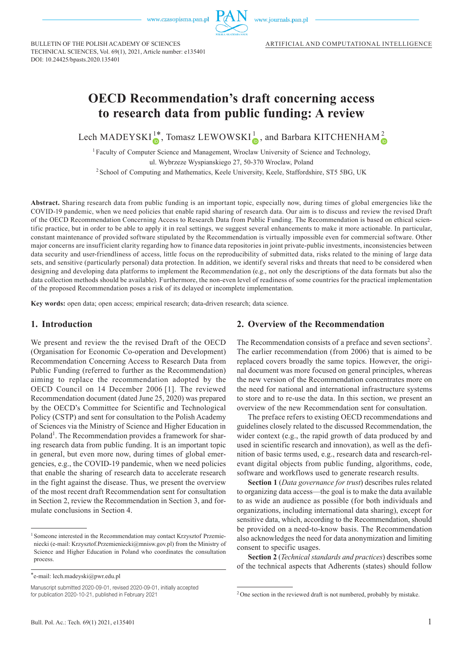

www.journals.pan.pl

BULLETIN OF THE POLISH ACADEMY OF SCIENCES TECHNICAL SCIENCES, Vol. 69(1), 2021, Article number: e135401 DOI: 10.24425/bpasts.2020.135401

# **OECD Recommendation's draft concerning access to research data from public funding: A review**

Lech MADEYSKI<sup>[1\\*](http://orcid.org/0000-0003-3907-3357)</sup>, Tomasz LEWOWSK[I](http://orcid.org/0000-0003-4897-1263)<sup>1</sup><sub>0</sub>, and Barbara KITCHENHA[M](http://orcid.org/0000-0002-6134-8460)<sup>2</sup><sub>0</sub>

<sup>1</sup> Faculty of Computer Science and Management, Wroclaw University of Science and Technology,

ul. Wybrzeze Wyspianskiego 27, 50-370 Wroclaw, Poland

<sup>2</sup> School of Computing and Mathematics, Keele University, Keele, Staffordshire, ST5 5BG, UK

**Abstract.** Sharing research data from public funding is an important topic, especially now, during times of global emergencies like the COVID-19 pandemic, when we need policies that enable rapid sharing of research data. Our aim is to discuss and review the revised Draft of the OECD Recommendation Concerning Access to Research Data from Public Funding. The Recommendation is based on ethical scientific practice, but in order to be able to apply it in real settings, we suggest several enhancements to make it more actionable. In particular, constant maintenance of provided software stipulated by the Recommendation is virtually impossible even for commercial software. Other major concerns are insufficient clarity regarding how to finance data repositories in joint private-public investments, inconsistencies between data security and user-friendliness of access, little focus on the reproducibility of submitted data, risks related to the mining of large data sets, and sensitive (particularly personal) data protection. In addition, we identify several risks and threats that need to be considered when designing and developing data platforms to implement the Recommendation (e.g., not only the descriptions of the data formats but also the data collection methods should be available). Furthermore, the non-even level of readiness of some countries for the practical implementation of the proposed Recommendation poses a risk of its delayed or incomplete implementation.

**Key words:** open data; open access; empirical research; data-driven research; data science.

#### **1. Introduction**

We present and review the the revised Draft of the OECD (Organisation for Economic Co-operation and Development) Recommendation Concerning Access to Research Data from Public Funding (referred to further as the Recommendation) aiming to replace the recommendation adopted by the OECD Council on 14 December 2006 [1]. The reviewed Recommendation document (dated June 25, 2020) was prepared by the OECD՚s Committee for Scientific and Technological Policy (CSTP) and sent for consultation to the Polish Academy of Sciences via the Ministry of Science and Higher Education in Poland<sup>1</sup>. The Recommendation provides a framework for sharing research data from public funding. It is an important topic in general, but even more now, during times of global emergencies, e.g., the COVID-19 pandemic, when we need policies that enable the sharing of research data to accelerate research in the fight against the disease. Thus, we present the overview of the most recent draft Recommendation sent for consultation in Section 2, review the Recommendation in Section 3, and formulate conclusions in Section 4.

#### **2. Overview of the Recommendation**

The Recommendation consists of a preface and seven sections<sup>2</sup>. The earlier recommendation (from 2006) that is aimed to be replaced covers broadly the same topics. However, the original document was more focused on general principles, whereas the new version of the Recommendation concentrates more on the need for national and international infrastructure systems to store and to re-use the data. In this section, we present an overview of the new Recommendation sent for consultation.

The preface refers to existing OECD recommendations and guidelines closely related to the discussed Recommendation, the wider context (e.g., the rapid growth of data produced by and used in scientific research and innovation), as well as the definition of basic terms used, e.g., research data and research-relevant digital objects from public funding, algorithms, code, software and workflows used to generate research results.

**Section 1** (*Data governance for trust*) describes rules related to organizing data access—the goal is to make the data available to as wide an audience as possible (for both individuals and organizations, including international data sharing), except for sensitive data, which, according to the Recommendation, should be provided on a need-to-know basis. The Recommendation also acknowledges the need for data anonymization and limiting consent to specific usages.

**Section 2** (*Technical standards and practices*) describes some of the technical aspects that Adherents (states) should follow

<sup>&</sup>lt;sup>1</sup> Someone interested in the Recommendation may contact Krzysztof Przemieniecki (e-mail: [Krzysztof.Przemieniecki@mnisw.gov.pl](mailto:Krzysztof.Przemieniecki@mnisw.gov.pl)) from the Ministry of Science and Higher Education in Poland who coordinates the consultation process.

<sup>\*</sup>e-mail: lech.madeyski@pwr.edu.pl

Manuscript submitted 2020-09-01, revised 2020-09-01, initially accepted for publication 2020-10-21, published in February 2021

<sup>&</sup>lt;sup>2</sup> One section in the reviewed draft is not numbered, probably by mistake.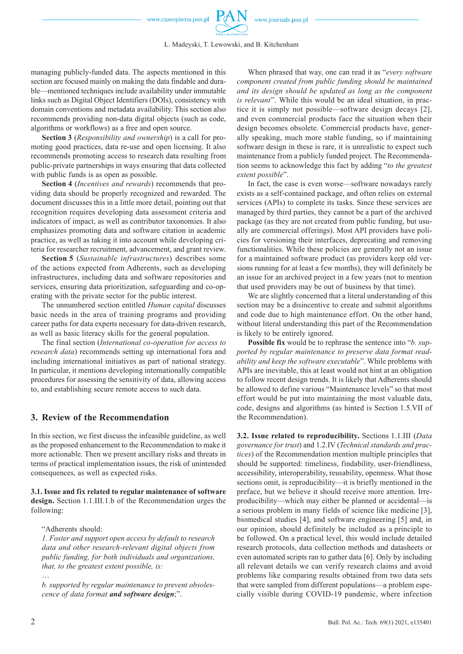

L. Madeyski, T. Lewowski, and B. Kitchenham

managing publicly-funded data. The aspects mentioned in this section are focused mainly on making the data findable and durable—mentioned techniques include availability under immutable links such as Digital Object Identifiers (DOIs), consistency with domain conventions and metadata availability. This section also recommends providing non-data digital objects (such as code, algorithms or workflows) as a free and open source.

**Section 3** (*Responsibility and ownership*) is a call for promoting good practices, data re-use and open licensing. It also recommends promoting access to research data resulting from public-private partnerships in ways ensuring that data collected with public funds is as open as possible.

**Section 4** (*Incentives and rewards*) recommends that providing data should be properly recognized and rewarded. The document discusses this in a little more detail, pointing out that recognition requires developing data assessment criteria and indicators of impact, as well as contributor taxonomies. It also emphasizes promoting data and software citation in academic practice, as well as taking it into account while developing criteria for researcher recruitment, advancement, and grant review.

**Section 5** (*Sustainable infrastructures*) describes some of the actions expected from Adherents, such as developing infrastructures, including data and software repositories and services, ensuring data prioritization, safeguarding and co-operating with the private sector for the public interest.

The unnumbered section entitled *Human capital* discusses basic needs in the area of training programs and providing career paths for data experts necessary for data-driven research, as well as basic literacy skills for the general population.

The final section (*International co-operation for access to research data*) recommends setting up international fora and including international initiatives as part of national strategy. In particular, it mentions developing internationally compatible procedures for assessing the sensitivity of data, allowing access to, and establishing secure remote access to such data.

# **3. Review of the Recommendation**

In this section, we first discuss the infeasible guideline, as well as the proposed enhancement to the Recommendation to make it more actionable. Then we present ancillary risks and threats in terms of practical implementation issues, the risk of unintended consequences, as well as expected risks.

**3.1. Issue and fix related to regular maintenance of software design.** Section 1.1.III.1.b of the Recommendation urges the following:

"Adherents should:

*1. Foster and support open access by default to research data and other research-relevant digital objects from public funding, for both individuals and organizations, that, to the greatest extent possible, is:* …

*b. supported by regular maintenance to prevent obsolescence of data format and software design*;".

When phrased that way, one can read it as "*every software component created from public funding should be maintained and its design should be updated as long as the component is relevant*". While this would be an ideal situation, in practice it is simply not possible—software design decays [2], and even commercial products face the situation when their design becomes obsolete. Commercial products have, generally speaking, much more stable funding, so if maintaining software design in these is rare, it is unrealistic to expect such maintenance from a publicly funded project. The Recommendation seems to acknowledge this fact by adding "*to the greatest extent possible*".

In fact, the case is even worse—software nowadays rarely exists as a self-contained package, and often relies on external services (APIs) to complete its tasks. Since these services are managed by third parties, they cannot be a part of the archived package (as they are not created from public funding, but usually are commercial offerings). Most API providers have policies for versioning their interfaces, deprecating and removing functionalities. While these policies are generally not an issue for a maintained software product (as providers keep old versions running for at least a few months), they will definitely be an issue for an archived project in a few years (not to mention that used providers may be out of business by that time).

We are slightly concerned that a literal understanding of this section may be a disincentive to create and submit algorithms and code due to high maintenance effort. On the other hand, without literal understanding this part of the Recommendation is likely to be entirely ignored.

**Possible fix** would be to rephrase the sentence into "*b. supported by regular maintenance to preserve data format readability and keep the software executable*". While problems with APIs are inevitable, this at least would not hint at an obligation to follow recent design trends. It is likely that Adherents should be allowed to define various "Maintenance levels" so that most effort would be put into maintaining the most valuable data, code, designs and algorithms (as hinted is Section 1.5.VII of the Recommendation).

**3.2. Issue related to reproducibility.** Sections 1.1.III (*Data governance for trust*) and 1.2.IV (*Technical standards and practices*) of the Recommendation mention multiple principles that should be supported: timeliness, findability, user-friendliness, accessibility, interoperability, reusability, openness. What those sections omit, is reproducibility—it is briefly mentioned in the preface, but we believe it should receive more attention. Irreproducibility—which may either be planned or accidental—is a serious problem in many fields of science like medicine [3], biomedical studies [4], and software engineering [5] and, in our opinion, should definitely be included as a principle to be followed. On a practical level, this would include detailed research protocols, data collection methods and datasheets or even automated scripts ran to gather data [6]. Only by including all relevant details we can verify research claims and avoid problems like comparing results obtained from two data sets that were sampled from different populations—a problem especially visible during COVID-19 pandemic, where infection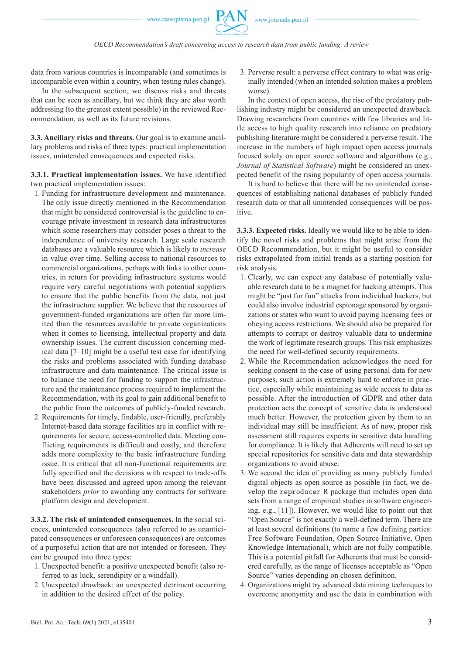data from various countries is incomparable (and sometimes is incomparable even within a country, when testing rules change).

In the subsequent section, we discuss risks and threats that can be seen as ancillary, but we think they are also worth addressing (to the greatest extent possible) in the reviewed Recommendation, as well as its future revisions.

**3.3. Ancillary risks and threats.** Our goal is to examine ancillary problems and risks of three types: practical implementation issues, unintended consequences and expected risks.

**3.3.1. Practical implementation issues.** We have identified two practical implementation issues:

- 1. Funding for infrastructure development and maintenance. The only issue directly mentioned in the Recommendation that might be considered controversial is the guideline to encourage private investment in research data infrastructures which some researchers may consider poses a threat to the independence of university research. Large scale research databases are a valuable resource which is likely to *increase* in value over time. Selling access to national resources to commercial organizations, perhaps with links to other countries, in return for providing infrastructure systems would require very careful negotiations with potential suppliers to ensure that the public benefits from the data, not just the infrastructure supplier. We believe that the resources of government-funded organizations are often far more limited than the resources available to private organizations when it comes to licensing, intellectual property and data ownership issues. The current discussion concerning medical data  $[7-10]$  might be a useful test case for identifying the risks and problems associated with funding database infrastructure and data maintenance. The critical issue is to balance the need for funding to support the infrastructure and the maintenance process required to implement the Recommendation, with its goal to gain additional benefit to the public from the outcomes of publicly-funded research.
- 2. Requirements for timely, findable, user-friendly, preferably Internet-based data storage facilities are in conflict with requirements for secure, access-controlled data. Meeting conflicting requirements is difficult and costly, and therefore adds more complexity to the basic infrastructure funding issue. It is critical that all non-functional requirements are fully specified and the decisions with respect to trade-offs have been discussed and agreed upon among the relevant stakeholders *prior* to awarding any contracts for software platform design and development.

**3.3.2. The risk of unintended consequences.** In the social sciences, unintended consequences (also referred to as unanticipated consequences or unforeseen consequences) are outcomes of a purposeful action that are not intended or foreseen. They can be grouped into three types:

- 1. Unexpected benefit: a positive unexpected benefit (also referred to as luck, serendipity or a windfall).
- 2. Unexpected drawback: an unexpected detriment occurring in addition to the desired effect of the policy.

3. Perverse result: a perverse effect contrary to what was originally intended (when an intended solution makes a problem worse).

In the context of open access, the rise of the predatory publishing industry might be considered an unexpected drawback. Drawing researchers from countries with few libraries and little access to high quality research into reliance on predatory publishing literature might be considered a perverse result. The increase in the numbers of high impact open access journals focused solely on open source software and algorithms (e.g., *Journal of Statistical Software*) might be considered an unexpected benefit of the rising popularity of open access journals.

It is hard to believe that there will be no unintended consequences of establishing national databases of publicly funded research data or that all unintended consequences will be positive.

**3.3.3. Expected risks.** Ideally we would like to be able to identify the novel risks and problems that might arise from the OECD Recommendation, but it might be useful to consider risks extrapolated from initial trends as a starting position for risk analysis.

- 1. Clearly, we can expect any database of potentially valuable research data to be a magnet for hacking attempts. This might be "just for fun" attacks from individual hackers, but could also involve industrial espionage sponsored by organizations or states who want to avoid paying licensing fees or obeying access restrictions. We should also be prepared for attempts to corrupt or destroy valuable data to undermine the work of legitimate research groups. This risk emphasizes the need for well-defined security requirements.
- 2. While the Recommendation acknowledges the need for seeking consent in the case of using personal data for new purposes, such action is extremely hard to enforce in practice, especially while maintaining as wide access to data as possible. After the introduction of GDPR and other data protection acts the concept of sensitive data is understood much better. However, the protection given by them to an individual may still be insufficient. As of now, proper risk assessment still requires experts in sensitive data handling for compliance. It is likely that Adherents will need to set up special repositories for sensitive data and data stewardship organizations to avoid abuse.
- 3. We second the idea of providing as many publicly funded digital objects as open source as possible (in fact, we develop the reproducer R package that includes open data sets from a range of empirical studies in software engineering, e.g., [11]). However, we would like to point out that "Open Source" is not exactly a well-defined term. There are at least several definitions (to name a few defining parties: Free Software Foundation, Open Source Initiative, Open Knowledge International), which are not fully compatible. This is a potential pitfall for Adherents that must be considered carefully, as the range of licenses acceptable as "Open Source" varies depending on chosen definition.
- 4. Organizations might try advanced data mining techniques to overcome anonymity and use the data in combination with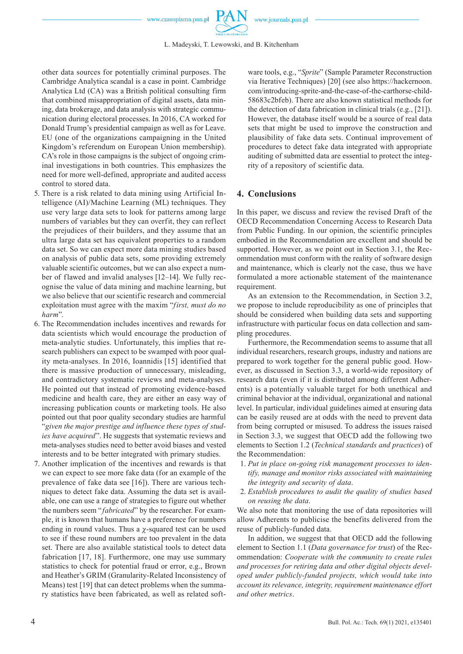

other data sources for potentially criminal purposes. The Cambridge Analytica scandal is a case in point. Cambridge Analytica Ltd (CA) was a British political consulting firm that combined misappropriation of digital assets, data mining, data brokerage, and data analysis with strategic communication during electoral processes. In 2016, CA worked for Donald Trump's presidential campaign as well as for Leave. EU (one of the organizations campaigning in the United Kingdom's referendum on European Union membership). CA's role in those campaigns is the subject of ongoing criminal investigations in both countries. This emphasizes the need for more well-defined, appropriate and audited access control to stored data.

- 5. There is a risk related to data mining using Artificial Intelligence (AI)/Machine Learning (ML) techniques. They use very large data sets to look for patterns among large numbers of variables but they can overfit, they can reflect the prejudices of their builders, and they assume that an ultra large data set has equivalent properties to a random data set. So we can expect more data mining studies based on analysis of public data sets, some providing extremely valuable scientific outcomes, but we can also expect a number of flawed and invalid analyses [12–14]. We fully recognise the value of data mining and machine learning, but we also believe that our scientific research and commercial exploitation must agree with the maxim "*first, must do no harm*".
- 6. The Recommendation includes incentives and rewards for data scientists which would encourage the production of meta-analytic studies. Unfortunately, this implies that research publishers can expect to be swamped with poor quality meta-analyses. In 2016, Ioannidis [15] identified that there is massive production of unnecessary, misleading, and contradictory systematic reviews and meta-analyses. He pointed out that instead of promoting evidence-based medicine and health care, they are either an easy way of increasing publication counts or marketing tools. He also pointed out that poor quality secondary studies are harmful "*given the major prestige and influence these types of studies have acquired*". He suggests that systematic reviews and meta-analyses studies need to better avoid biases and vested interests and to be better integrated with primary studies.
- 7. Another implication of the incentives and rewards is that we can expect to see more fake data (for an example of the prevalence of fake data see [16]). There are various techniques to detect fake data. Assuming the data set is available, one can use a range of strategies to figure out whether the numbers seem "*fabricated*" by the researcher. For example, it is known that humans have a preference for numbers ending in round values. Thus a  $\chi$ -squared test can be used to see if these round numbers are too prevalent in the data set. There are also available statistical tools to detect data fabrication [17, 18]. Furthermore, one may use summary statistics to check for potential fraud or error, e.g., Brown and Heather՚s GRIM (Granularity-Related Inconsistency of Means) test [19] that can detect problems when the summary statistics have been fabricated, as well as related soft-

ware tools, e.g., "*Sprite*" (Sample Parameter Reconstruction via Iterative Techniques) [20] (see also https:/[/hackernoon.](http://hackernoon.com/introducing-sprite-and-the-case-of-the-carthorse-child-58683c2bfeb) [com/introducing-sprite-and-the-case-of-the-carthorse-child-](http://hackernoon.com/introducing-sprite-and-the-case-of-the-carthorse-child-58683c2bfeb)[58683c2bfeb](http://hackernoon.com/introducing-sprite-and-the-case-of-the-carthorse-child-58683c2bfeb)). There are also known statistical methods for the detection of data fabrication in clinical trials (e.g., [21]). However, the database itself would be a source of real data sets that might be used to improve the construction and plausibility of fake data sets. Continual improvement of procedures to detect fake data integrated with appropriate auditing of submitted data are essential to protect the integrity of a repository of scientific data.

### **4. Conclusions**

In this paper, we discuss and review the revised Draft of the OECD Recommendation Concerning Access to Research Data from Public Funding. In our opinion, the scientific principles embodied in the Recommendation are excellent and should be supported. However, as we point out in Section 3.1, the Recommendation must conform with the reality of software design and maintenance, which is clearly not the case, thus we have formulated a more actionable statement of the maintenance requirement.

As an extension to the Recommendation, in Section 3.2, we propose to include reproducibility as one of principles that should be considered when building data sets and supporting infrastructure with particular focus on data collection and sampling procedures.

Furthermore, the Recommendation seems to assume that all individual researchers, research groups, industry and nations are prepared to work together for the general public good. However, as discussed in Section 3.3, a world-wide repository of research data (even if it is distributed among different Adherents) is a potentially valuable target for both unethical and criminal behavior at the individual, organizational and national level. In particular, individual guidelines aimed at ensuring data can be easily reused are at odds with the need to prevent data from being corrupted or misused. To address the issues raised in Section 3.3, we suggest that OECD add the following two elements to Section 1.2 (*Technical standards and practices*) of the Recommendation:

- 1. *Put in place on-going risk management processes to identify, manage and monitor risks associated with maintaining the integrity and security of data*.
- 2. *Establish procedures to audit the quality of studies based on reusing the data*.

We also note that monitoring the use of data repositories will allow Adherents to publicise the benefits delivered from the reuse of publicly-funded data.

In addition, we suggest that that OECD add the following element to Section 1.1 (*Data governance for trust*) of the Recommendation: *Cooperate with the community to create rules and processes for retiring data and other digital objects developed under publicly-funded projects, which would take into account its relevance, integrity, requirement maintenance effort and other metrics*.